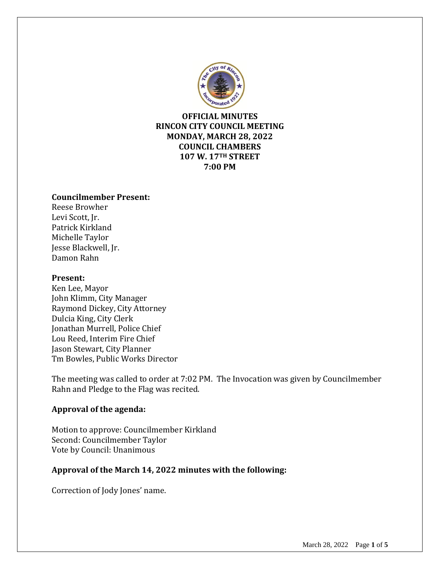

**OFFICIAL MINUTES RINCON CITY COUNCIL MEETING MONDAY, MARCH 28, 2022 COUNCIL CHAMBERS 107 W. 17TH STREET 7:00 PM**

#### **Councilmember Present:**

Reese Browher Levi Scott, Jr. Patrick Kirkland Michelle Taylor Jesse Blackwell, Jr. Damon Rahn

#### **Present:**

Ken Lee, Mayor John Klimm, City Manager Raymond Dickey, City Attorney Dulcia King, City Clerk Jonathan Murrell, Police Chief Lou Reed, Interim Fire Chief Jason Stewart, City Planner Tm Bowles, Public Works Director

The meeting was called to order at 7:02 PM. The Invocation was given by Councilmember Rahn and Pledge to the Flag was recited.

# **Approval of the agenda:**

Motion to approve: Councilmember Kirkland Second: Councilmember Taylor Vote by Council: Unanimous

# **Approval of the March 14, 2022 minutes with the following:**

Correction of Jody Jones' name.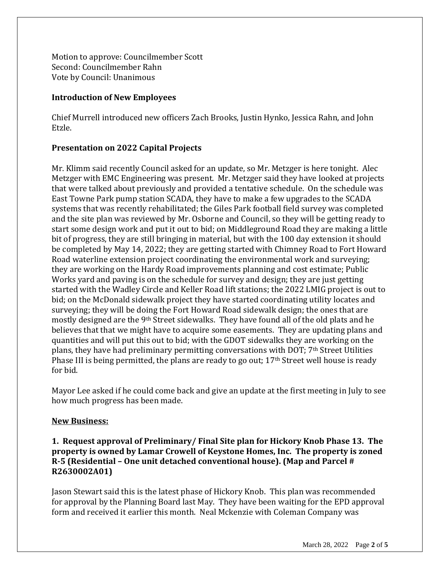Motion to approve: Councilmember Scott Second: Councilmember Rahn Vote by Council: Unanimous

# **Introduction of New Employees**

Chief Murrell introduced new officers Zach Brooks, Justin Hynko, Jessica Rahn, and John Etzle.

# **Presentation on 2022 Capital Projects**

Mr. Klimm said recently Council asked for an update, so Mr. Metzger is here tonight. Alec Metzger with EMC Engineering was present. Mr. Metzger said they have looked at projects that were talked about previously and provided a tentative schedule. On the schedule was East Towne Park pump station SCADA, they have to make a few upgrades to the SCADA systems that was recently rehabilitated; the Giles Park football field survey was completed and the site plan was reviewed by Mr. Osborne and Council, so they will be getting ready to start some design work and put it out to bid; on Middleground Road they are making a little bit of progress, they are still bringing in material, but with the 100 day extension it should be completed by May 14, 2022; they are getting started with Chimney Road to Fort Howard Road waterline extension project coordinating the environmental work and surveying; they are working on the Hardy Road improvements planning and cost estimate; Public Works yard and paving is on the schedule for survey and design; they are just getting started with the Wadley Circle and Keller Road lift stations; the 2022 LMIG project is out to bid; on the McDonald sidewalk project they have started coordinating utility locates and surveying; they will be doing the Fort Howard Road sidewalk design; the ones that are mostly designed are the 9th Street sidewalks. They have found all of the old plats and he believes that that we might have to acquire some easements. They are updating plans and quantities and will put this out to bid; with the GDOT sidewalks they are working on the plans, they have had preliminary permitting conversations with DOT; 7<sup>th</sup> Street Utilities Phase III is being permitted, the plans are ready to go out; 17<sup>th</sup> Street well house is ready for bid.

Mayor Lee asked if he could come back and give an update at the first meeting in July to see how much progress has been made.

# **New Business:**

# **1. Request approval of Preliminary/ Final Site plan for Hickory Knob Phase 13. The property is owned by Lamar Crowell of Keystone Homes, Inc. The property is zoned R-5 (Residential – One unit detached conventional house). (Map and Parcel # R2630002A01)**

Jason Stewart said this is the latest phase of Hickory Knob. This plan was recommended for approval by the Planning Board last May. They have been waiting for the EPD approval form and received it earlier this month. Neal Mckenzie with Coleman Company was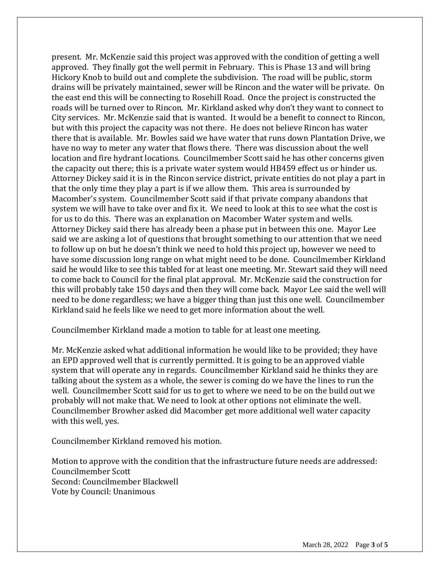present. Mr. McKenzie said this project was approved with the condition of getting a well approved. They finally got the well permit in February. This is Phase 13 and will bring Hickory Knob to build out and complete the subdivision. The road will be public, storm drains will be privately maintained, sewer will be Rincon and the water will be private. On the east end this will be connecting to Rosehill Road. Once the project is constructed the roads will be turned over to Rincon. Mr. Kirkland asked why don't they want to connect to City services. Mr. McKenzie said that is wanted. It would be a benefit to connect to Rincon, but with this project the capacity was not there. He does not believe Rincon has water there that is available. Mr. Bowles said we have water that runs down Plantation Drive, we have no way to meter any water that flows there. There was discussion about the well location and fire hydrant locations. Councilmember Scott said he has other concerns given the capacity out there; this is a private water system would HB459 effect us or hinder us. Attorney Dickey said it is in the Rincon service district, private entities do not play a part in that the only time they play a part is if we allow them. This area is surrounded by Macomber's system. Councilmember Scott said if that private company abandons that system we will have to take over and fix it. We need to look at this to see what the cost is for us to do this. There was an explanation on Macomber Water system and wells. Attorney Dickey said there has already been a phase put in between this one. Mayor Lee said we are asking a lot of questions that brought something to our attention that we need to follow up on but he doesn't think we need to hold this project up, however we need to have some discussion long range on what might need to be done. Councilmember Kirkland said he would like to see this tabled for at least one meeting. Mr. Stewart said they will need to come back to Council for the final plat approval. Mr. McKenzie said the construction for this will probably take 150 days and then they will come back. Mayor Lee said the well will need to be done regardless; we have a bigger thing than just this one well. Councilmember Kirkland said he feels like we need to get more information about the well.

Councilmember Kirkland made a motion to table for at least one meeting.

Mr. McKenzie asked what additional information he would like to be provided; they have an EPD approved well that is currently permitted. It is going to be an approved viable system that will operate any in regards. Councilmember Kirkland said he thinks they are talking about the system as a whole, the sewer is coming do we have the lines to run the well. Councilmember Scott said for us to get to where we need to be on the build out we probably will not make that. We need to look at other options not eliminate the well. Councilmember Browher asked did Macomber get more additional well water capacity with this well, yes.

Councilmember Kirkland removed his motion.

Motion to approve with the condition that the infrastructure future needs are addressed: Councilmember Scott Second: Councilmember Blackwell Vote by Council: Unanimous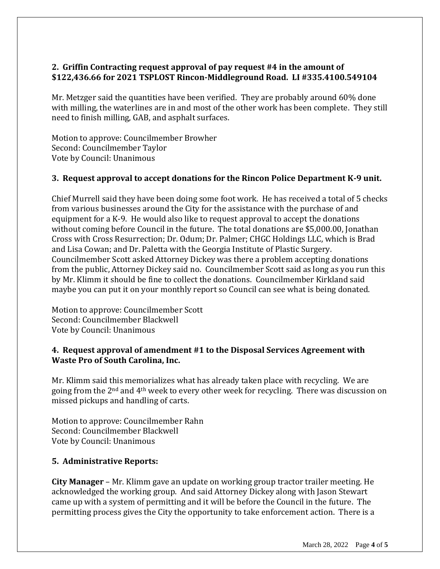# **2. Griffin Contracting request approval of pay request #4 in the amount of \$122,436.66 for 2021 TSPLOST Rincon-Middleground Road. LI #335.4100.549104**

Mr. Metzger said the quantities have been verified. They are probably around 60% done with milling, the waterlines are in and most of the other work has been complete. They still need to finish milling, GAB, and asphalt surfaces.

Motion to approve: Councilmember Browher Second: Councilmember Taylor Vote by Council: Unanimous

# **3. Request approval to accept donations for the Rincon Police Department K-9 unit.**

Chief Murrell said they have been doing some foot work. He has received a total of 5 checks from various businesses around the City for the assistance with the purchase of and equipment for a K-9. He would also like to request approval to accept the donations without coming before Council in the future. The total donations are \$5,000.00, Jonathan Cross with Cross Resurrection; Dr. Odum; Dr. Palmer; CHGC Holdings LLC, which is Brad and Lisa Cowan; and Dr. Paletta with the Georgia Institute of Plastic Surgery. Councilmember Scott asked Attorney Dickey was there a problem accepting donations from the public, Attorney Dickey said no. Councilmember Scott said as long as you run this by Mr. Klimm it should be fine to collect the donations. Councilmember Kirkland said maybe you can put it on your monthly report so Council can see what is being donated.

Motion to approve: Councilmember Scott Second: Councilmember Blackwell Vote by Council: Unanimous

# **4. Request approval of amendment #1 to the Disposal Services Agreement with Waste Pro of South Carolina, Inc.**

Mr. Klimm said this memorializes what has already taken place with recycling. We are going from the 2<sup>nd</sup> and 4<sup>th</sup> week to every other week for recycling. There was discussion on missed pickups and handling of carts.

Motion to approve: Councilmember Rahn Second: Councilmember Blackwell Vote by Council: Unanimous

# **5. Administrative Reports:**

**City Manager** – Mr. Klimm gave an update on working group tractor trailer meeting. He acknowledged the working group. And said Attorney Dickey along with Jason Stewart came up with a system of permitting and it will be before the Council in the future. The permitting process gives the City the opportunity to take enforcement action. There is a